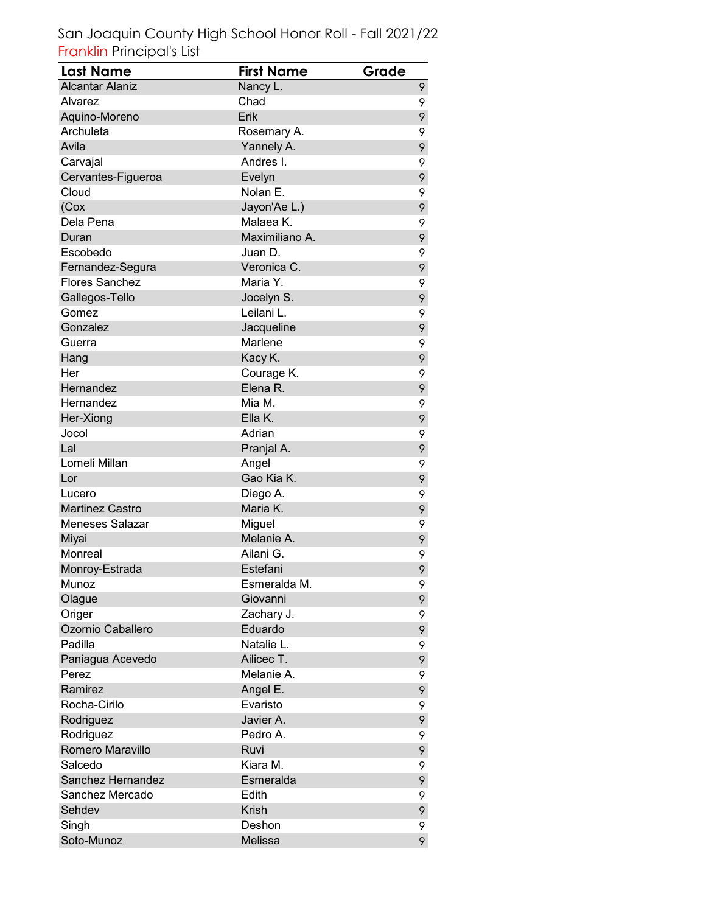| <b>Last Name</b>       | <b>First Name</b> | Grade |
|------------------------|-------------------|-------|
| <b>Alcantar Alaniz</b> | Nancy L.          | 9     |
| Alvarez                | Chad              | 9     |
| Aquino-Moreno          | Erik              | 9     |
| Archuleta              | Rosemary A.       | 9     |
| Avila                  | Yannely A.        | 9     |
| Carvajal               | Andres I.         | 9     |
| Cervantes-Figueroa     | Evelyn            | 9     |
| Cloud                  | Nolan E.          | 9     |
| (Cox                   | Jayon'Ae L.)      | 9     |
| Dela Pena              | Malaea K.         | 9     |
| Duran                  | Maximiliano A.    | 9     |
| Escobedo               | Juan D.           | 9     |
| Fernandez-Segura       | Veronica C.       | 9     |
| <b>Flores Sanchez</b>  | Maria Y.          | 9     |
| Gallegos-Tello         | Jocelyn S.        | 9     |
| Gomez                  | Leilani L.        | 9     |
| Gonzalez               | Jacqueline        | 9     |
| Guerra                 | Marlene           | 9     |
| Hang                   | Kacy K.           | 9     |
| Her                    | Courage K.        | 9     |
| Hernandez              | Elena R.          | 9     |
| Hernandez              | Mia M.            | 9     |
| Her-Xiong              | Ella K.           | 9     |
| Jocol                  | Adrian            | 9     |
| Lal                    | Pranjal A.        | 9     |
| Lomeli Millan          | Angel             | 9     |
| Lor                    | Gao Kia K.        | 9     |
| Lucero                 | Diego A.          | 9     |
| <b>Martinez Castro</b> | Maria K.          | 9     |
| <b>Meneses Salazar</b> | Miguel            | 9     |
| Miyai                  | Melanie A.        | 9     |
| Monreal                | Ailani G.         | 9     |
| Monroy-Estrada         | Estefani          | 9     |
| Munoz                  | Esmeralda M.      | 9     |
| Olague                 | Giovanni          | 9     |
| Origer                 | Zachary J.        | 9     |
| Ozornio Caballero      | Eduardo           | 9     |
| Padilla                | Natalie L.        | 9     |
| Paniagua Acevedo       | Ailicec T.        | 9     |
| Perez                  | Melanie A.        | 9     |
| Ramirez                | Angel E.          | 9     |
| Rocha-Cirilo           | Evaristo          | 9     |
| Rodriguez              | Javier A.         | 9     |
| Rodriguez              | Pedro A.          | 9     |
| Romero Maravillo       | Ruvi              | 9     |
| Salcedo                | Kiara M.          | 9     |
| Sanchez Hernandez      | Esmeralda         | 9     |
| Sanchez Mercado        | Edith             | 9     |
| Sehdev                 | <b>Krish</b>      | 9     |
| Singh                  | Deshon            | 9     |
| Soto-Munoz             | Melissa           | 9     |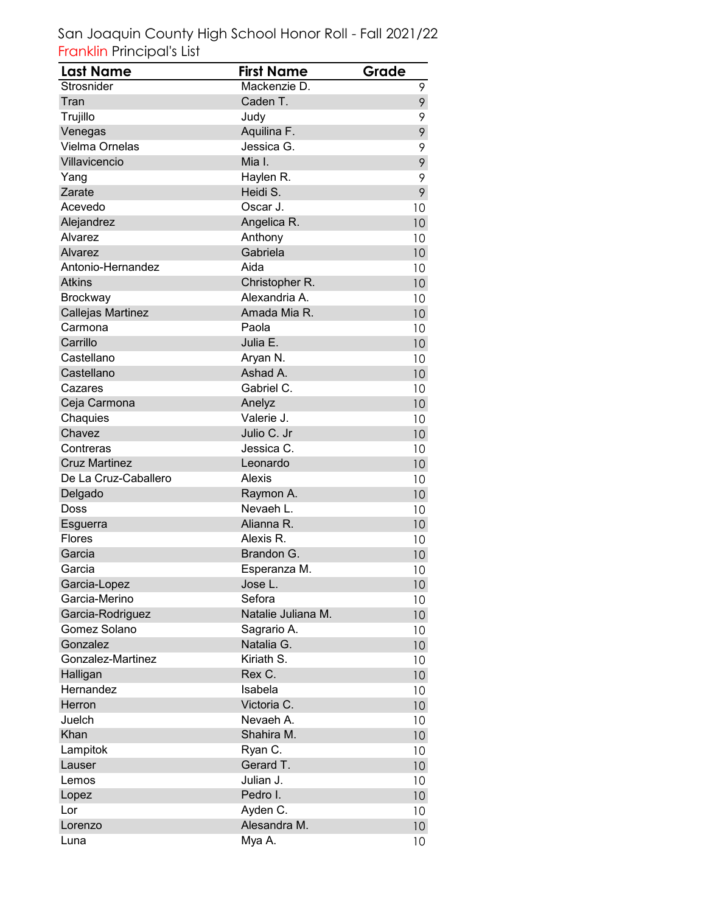| Last Name            | <b>First Name</b>  | Grade           |
|----------------------|--------------------|-----------------|
| Strosnider           | Mackenzie D.       | 9               |
| Tran                 | Caden T.           | 9               |
| Trujillo             | Judy               | 9               |
| Venegas              | Aquilina F.        | 9               |
| Vielma Ornelas       | Jessica G.         | 9               |
| Villavicencio        | Mia I.             | 9               |
| Yang                 | Haylen R.          | 9               |
| Zarate               | Heidi S.           | 9               |
| Acevedo              | Oscar J.           | 10              |
| Alejandrez           | Angelica R.        | 10              |
| Alvarez              | Anthony            | 10              |
| Alvarez              | Gabriela           | 10              |
| Antonio-Hernandez    | Aida               | 10              |
| <b>Atkins</b>        | Christopher R.     | 10              |
| <b>Brockway</b>      | Alexandria A.      | 10              |
| Callejas Martinez    | Amada Mia R.       | 10              |
| Carmona              | Paola              | 10              |
| Carrillo             | Julia E.           | 10 <sup>1</sup> |
| Castellano           | Aryan N.           | 10              |
| Castellano           | Ashad A.           | 10              |
| Cazares              | Gabriel C.         | 10              |
| Ceja Carmona         | Anelyz             | 10              |
| Chaquies             | Valerie J.         | 10              |
| Chavez               | Julio C. Jr        | 10              |
| Contreras            | Jessica C.         | 10              |
| <b>Cruz Martinez</b> | Leonardo           | 10              |
| De La Cruz-Caballero | Alexis             | 10              |
| Delgado              | Raymon A.          | 10              |
| Doss                 | Nevaeh L.          | 10              |
| Esguerra             | Alianna R.         | 10              |
| Flores               | Alexis R.          | 10              |
| Garcia               | Brandon G.         | 10              |
| Garcia               | Esperanza M.       | 10              |
| Garcia-Lopez         | Jose L.            | 10 <sup>1</sup> |
| Garcia-Merino        | Sefora             | 10              |
| Garcia-Rodriguez     | Natalie Juliana M. | 10 <sup>°</sup> |
| Gomez Solano         | Sagrario A.        | 10              |
| Gonzalez             | Natalia G.         | 10 <sup>°</sup> |
| Gonzalez-Martinez    | Kiriath S.         | 10              |
| Halligan             | Rex C.             | 10 <sup>°</sup> |
| Hernandez            | Isabela            | 10              |
| Herron               | Victoria C.        | 10 <sup>°</sup> |
| Juelch               | Nevaeh A.          | 10              |
| Khan                 | Shahira M.         | 10              |
| Lampitok             | Ryan C.            | 10              |
| Lauser               | Gerard T.          | 10 <sup>°</sup> |
| Lemos                | Julian J.          | 10              |
| Lopez                | Pedro I.           | 10 <sup>°</sup> |
| Lor                  | Ayden C.           | 10              |
| Lorenzo              | Alesandra M.       | 10 <sup>°</sup> |
| Luna                 | Mya A.             | 10              |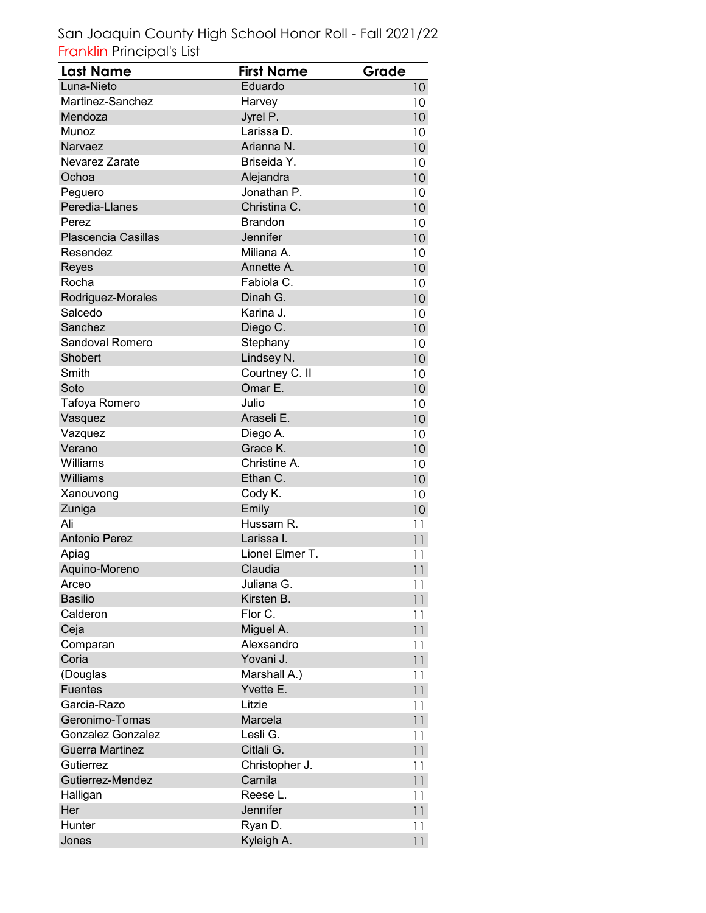| <b>Last Name</b>         | <b>First Name</b> | Grade           |
|--------------------------|-------------------|-----------------|
| Luna-Nieto               | Eduardo           | 10 <sup>°</sup> |
| Martinez-Sanchez         | Harvey            | 10              |
| Mendoza                  | Jyrel P.          | 10              |
| Munoz                    | Larissa D.        | 10              |
| Narvaez                  | Arianna N.        | 10              |
| Nevarez Zarate           | Briseida Y.       | 10              |
| Ochoa                    | Alejandra         | 10              |
| Peguero                  | Jonathan P.       | 10              |
| Peredia-Llanes           | Christina C.      | 10              |
| Perez                    | <b>Brandon</b>    | 10              |
| Plascencia Casillas      | Jennifer          | 10              |
| Resendez                 | Miliana A.        | 10              |
| Reyes                    | Annette A.        | 10              |
| Rocha                    | Fabiola C.        | 10              |
| Rodriguez-Morales        | Dinah G.          | 10              |
| Salcedo                  | Karina J.         | 10              |
| Sanchez                  | Diego C.          | 10              |
| Sandoval Romero          | Stephany          | 10              |
| Shobert                  | Lindsey N.        | 10              |
| Smith                    | Courtney C. II    | 10              |
| Soto                     | Omar E.           | 10              |
| Tafoya Romero            | Julio             | 10              |
| Vasquez                  | Araseli E.        | 10              |
| Vazquez                  | Diego A.          | 10              |
| Verano                   | Grace K.          | 10              |
| Williams                 | Christine A.      | 10              |
| Williams                 | Ethan C.          | 10              |
| Xanouvong                | Cody K.           | 10              |
| Zuniga                   | Emily             | 10              |
| Ali                      | Hussam R.         | 11              |
| <b>Antonio Perez</b>     | Larissa I.        | 11              |
| Apiag                    | Lionel Elmer T.   | 11              |
| Aquino-Moreno            | Claudia           | 11              |
| Arceo                    | Juliana G.        | 11              |
| <b>Basilio</b>           | Kirsten B.        | 11              |
| Calderon                 | Flor C.           | 11              |
| Ceja                     | Miguel A.         | 11              |
| Comparan                 | Alexsandro        | 11              |
| Coria                    | Yovani J.         | 11              |
| (Douglas                 | Marshall A.)      | 11              |
| <b>Fuentes</b>           | Yvette E.         | 11              |
| Garcia-Razo              | Litzie            | 11              |
| Geronimo-Tomas           | Marcela           | 11              |
| <b>Gonzalez Gonzalez</b> | Lesli G.          | 11              |
| <b>Guerra Martinez</b>   | Citlali G.        | 11              |
| Gutierrez                | Christopher J.    | 11              |
| Gutierrez-Mendez         | Camila            | 11              |
| Halligan                 | Reese L.          | 11              |
| Her                      | Jennifer          | 11              |
| Hunter                   | Ryan D.           | 11              |
| Jones                    | Kyleigh A.        | 11              |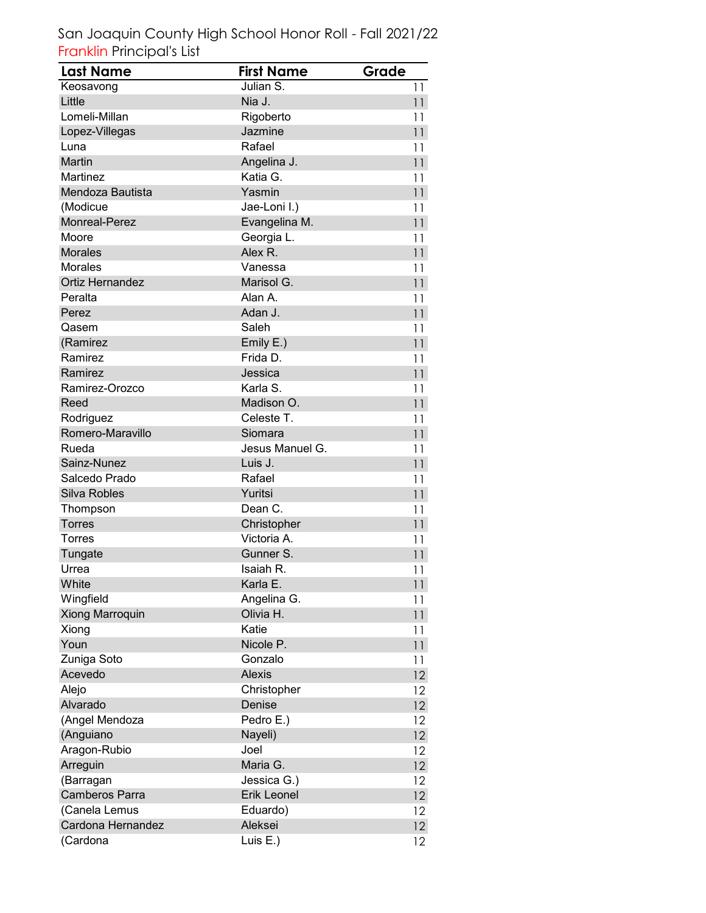| <b>Last Name</b>       | <b>First Name</b>  | Grade           |
|------------------------|--------------------|-----------------|
| Keosavong              | Julian S.          | 11              |
| Little                 | Nia J.             | 11              |
| Lomeli-Millan          | Rigoberto          | 11              |
| Lopez-Villegas         | Jazmine            | 11              |
| Luna                   | Rafael             | 11              |
| Martin                 | Angelina J.        | 11              |
| Martinez               | Katia G.           | 11              |
| Mendoza Bautista       | Yasmin             | 11              |
| (Modicue               | Jae-Loni I.)       | 11              |
| <b>Monreal-Perez</b>   | Evangelina M.      | 11              |
| Moore                  | Georgia L.         | 11              |
| <b>Morales</b>         | Alex R.            | 11              |
| <b>Morales</b>         | Vanessa            | 11              |
| <b>Ortiz Hernandez</b> | Marisol G.         | 11              |
| Peralta                | Alan A.            | 11              |
| Perez                  | Adan J.            | 11              |
| Qasem                  | Saleh              | 11              |
| (Ramirez               | Emily E.)          | 11              |
| Ramirez                | Frida D.           | 11              |
| Ramirez                | Jessica            | 11              |
| Ramirez-Orozco         | Karla S.           | 11              |
| Reed                   | Madison O.         | 11              |
| Rodriguez              | Celeste T.         | 11              |
| Romero-Maravillo       | Siomara            | 11              |
| Rueda                  | Jesus Manuel G.    | 11              |
| Sainz-Nunez            | Luis J.            | 11              |
| Salcedo Prado          | Rafael             | 11              |
| Silva Robles           | Yuritsi            | 11              |
| Thompson               | Dean C.            | 11              |
| <b>Torres</b>          | Christopher        | 11              |
| <b>Torres</b>          | Victoria A.        | 11              |
| Tungate                | Gunner S.          | 11              |
| Urrea                  | Isaiah R.          | 11              |
| White                  | Karla E.           | 11              |
| Wingfield              | Angelina G.        | 11              |
| <b>Xiong Marroquin</b> | Olivia H.          | 11              |
| Xiong                  | Katie              | 11              |
| Youn                   | Nicole P.          | 11              |
| Zuniga Soto            | Gonzalo            | 11              |
| Acevedo                | <b>Alexis</b>      | 12              |
| Alejo                  | Christopher        | 12              |
| Alvarado               | Denise             | 12 <sup>2</sup> |
| (Angel Mendoza         | Pedro E.)          | 12              |
| (Anguiano              | Nayeli)            | $12 \,$         |
| Aragon-Rubio           | Joel               | 12              |
| Arreguin               | Maria G.           | 12              |
| (Barragan              | Jessica G.)        | 12              |
| Camberos Parra         | <b>Erik Leonel</b> | $12 \,$         |
| (Canela Lemus          | Eduardo)           | 12              |
| Cardona Hernandez      | Aleksei            | 12              |
| (Cardona               | Luis E.)           | $12 \,$         |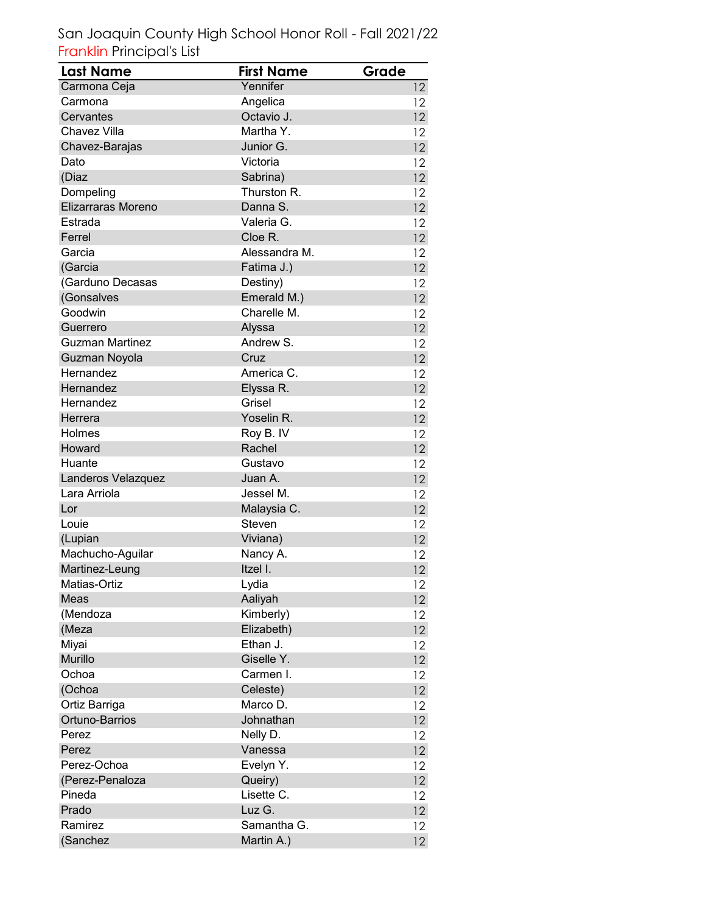| Yennifer<br>Carmona Ceja<br>12 <sup>°</sup><br>Angelica<br>Carmona<br>12<br>Octavio J.<br>Cervantes<br>12 <sup>°</sup><br>Martha Y.<br>Chavez Villa<br>12<br>Junior G.<br>Chavez-Barajas<br>12 <sup>°</sup><br>Victoria<br>Dato<br>12<br>(Diaz<br>Sabrina)<br>12<br>Thurston R.<br>Dompeling<br>12<br>Elizarraras Moreno<br>Danna S.<br>12<br>Estrada<br>Valeria G.<br>12<br>Cloe R.<br>Ferrel<br>12 <sup>°</sup><br>Alessandra M.<br>Garcia<br>12<br>(Garcia<br>Fatima J.)<br>$12 \,$<br>(Garduno Decasas<br>Destiny)<br>12<br>(Gonsalves<br>Emerald M.)<br>12 <sup>°</sup><br>Goodwin<br>Charelle M.<br>12<br>Guerrero<br>Alyssa<br>12 <sup>°</sup><br>Andrew S.<br><b>Guzman Martinez</b><br>12<br>Cruz<br>Guzman Noyola<br>12<br>America C.<br>Hernandez<br>12<br>Hernandez<br>Elyssa R.<br>12 <sup>°</sup><br>Grisel<br>Hernandez<br>12<br>Yoselin R.<br>Herrera<br>12 <sup>°</sup><br>Roy B. IV<br>Holmes<br>12<br>$12 \,$<br>Howard<br>Rachel<br>Huante<br>Gustavo<br>12<br>Juan A.<br>12 <sup>°</sup><br>Landeros Velazquez<br>Lara Arriola<br>Jessel M.<br>12<br>Malaysia C.<br>Lor<br>12 <sup>°</sup><br>Steven<br>Louie<br>12<br>(Lupian<br>Viviana)<br>12 <sup>°</sup><br>Machucho-Aguilar<br>Nancy A.<br>12<br>Martinez-Leung<br>Itzel I.<br>12<br>Matias-Ortiz<br>Lydia<br>12<br>Aaliyah<br>Meas<br>$12 \,$<br>Kimberly)<br>(Mendoza<br>12<br>Elizabeth)<br>(Meza<br>12<br>Ethan J.<br>Miyai<br>12<br>Murillo<br>Giselle Y.<br>12 <sup>°</sup><br>Ochoa<br>Carmen I.<br>12<br>(Ochoa<br>Celeste)<br>12<br>Ortiz Barriga<br>Marco D.<br>$12 \,$<br>Ortuno-Barrios<br>Johnathan<br>$12 \,$<br>Nelly D.<br>Perez<br>12<br>Vanessa<br>12<br>Perez<br>Perez-Ochoa<br>Evelyn Y.<br>12<br>Queiry)<br>(Perez-Penaloza<br>12<br>Pineda<br>Lisette C.<br>$12 \,$<br>Prado<br>Luz G.<br>12 <sup>°</sup><br>Samantha G.<br>Ramirez<br>12 <sup>°</sup> | <b>Last Name</b> | <b>First Name</b> | Grade             |
|---------------------------------------------------------------------------------------------------------------------------------------------------------------------------------------------------------------------------------------------------------------------------------------------------------------------------------------------------------------------------------------------------------------------------------------------------------------------------------------------------------------------------------------------------------------------------------------------------------------------------------------------------------------------------------------------------------------------------------------------------------------------------------------------------------------------------------------------------------------------------------------------------------------------------------------------------------------------------------------------------------------------------------------------------------------------------------------------------------------------------------------------------------------------------------------------------------------------------------------------------------------------------------------------------------------------------------------------------------------------------------------------------------------------------------------------------------------------------------------------------------------------------------------------------------------------------------------------------------------------------------------------------------------------------------------------------------------------------------------------------------------------------------------------------------------------------------------------------------|------------------|-------------------|-------------------|
|                                                                                                                                                                                                                                                                                                                                                                                                                                                                                                                                                                                                                                                                                                                                                                                                                                                                                                                                                                                                                                                                                                                                                                                                                                                                                                                                                                                                                                                                                                                                                                                                                                                                                                                                                                                                                                                         |                  |                   |                   |
|                                                                                                                                                                                                                                                                                                                                                                                                                                                                                                                                                                                                                                                                                                                                                                                                                                                                                                                                                                                                                                                                                                                                                                                                                                                                                                                                                                                                                                                                                                                                                                                                                                                                                                                                                                                                                                                         |                  |                   |                   |
|                                                                                                                                                                                                                                                                                                                                                                                                                                                                                                                                                                                                                                                                                                                                                                                                                                                                                                                                                                                                                                                                                                                                                                                                                                                                                                                                                                                                                                                                                                                                                                                                                                                                                                                                                                                                                                                         |                  |                   |                   |
|                                                                                                                                                                                                                                                                                                                                                                                                                                                                                                                                                                                                                                                                                                                                                                                                                                                                                                                                                                                                                                                                                                                                                                                                                                                                                                                                                                                                                                                                                                                                                                                                                                                                                                                                                                                                                                                         |                  |                   |                   |
|                                                                                                                                                                                                                                                                                                                                                                                                                                                                                                                                                                                                                                                                                                                                                                                                                                                                                                                                                                                                                                                                                                                                                                                                                                                                                                                                                                                                                                                                                                                                                                                                                                                                                                                                                                                                                                                         |                  |                   |                   |
|                                                                                                                                                                                                                                                                                                                                                                                                                                                                                                                                                                                                                                                                                                                                                                                                                                                                                                                                                                                                                                                                                                                                                                                                                                                                                                                                                                                                                                                                                                                                                                                                                                                                                                                                                                                                                                                         |                  |                   |                   |
|                                                                                                                                                                                                                                                                                                                                                                                                                                                                                                                                                                                                                                                                                                                                                                                                                                                                                                                                                                                                                                                                                                                                                                                                                                                                                                                                                                                                                                                                                                                                                                                                                                                                                                                                                                                                                                                         |                  |                   |                   |
|                                                                                                                                                                                                                                                                                                                                                                                                                                                                                                                                                                                                                                                                                                                                                                                                                                                                                                                                                                                                                                                                                                                                                                                                                                                                                                                                                                                                                                                                                                                                                                                                                                                                                                                                                                                                                                                         |                  |                   |                   |
|                                                                                                                                                                                                                                                                                                                                                                                                                                                                                                                                                                                                                                                                                                                                                                                                                                                                                                                                                                                                                                                                                                                                                                                                                                                                                                                                                                                                                                                                                                                                                                                                                                                                                                                                                                                                                                                         |                  |                   |                   |
|                                                                                                                                                                                                                                                                                                                                                                                                                                                                                                                                                                                                                                                                                                                                                                                                                                                                                                                                                                                                                                                                                                                                                                                                                                                                                                                                                                                                                                                                                                                                                                                                                                                                                                                                                                                                                                                         |                  |                   |                   |
|                                                                                                                                                                                                                                                                                                                                                                                                                                                                                                                                                                                                                                                                                                                                                                                                                                                                                                                                                                                                                                                                                                                                                                                                                                                                                                                                                                                                                                                                                                                                                                                                                                                                                                                                                                                                                                                         |                  |                   |                   |
|                                                                                                                                                                                                                                                                                                                                                                                                                                                                                                                                                                                                                                                                                                                                                                                                                                                                                                                                                                                                                                                                                                                                                                                                                                                                                                                                                                                                                                                                                                                                                                                                                                                                                                                                                                                                                                                         |                  |                   |                   |
|                                                                                                                                                                                                                                                                                                                                                                                                                                                                                                                                                                                                                                                                                                                                                                                                                                                                                                                                                                                                                                                                                                                                                                                                                                                                                                                                                                                                                                                                                                                                                                                                                                                                                                                                                                                                                                                         |                  |                   |                   |
|                                                                                                                                                                                                                                                                                                                                                                                                                                                                                                                                                                                                                                                                                                                                                                                                                                                                                                                                                                                                                                                                                                                                                                                                                                                                                                                                                                                                                                                                                                                                                                                                                                                                                                                                                                                                                                                         |                  |                   |                   |
|                                                                                                                                                                                                                                                                                                                                                                                                                                                                                                                                                                                                                                                                                                                                                                                                                                                                                                                                                                                                                                                                                                                                                                                                                                                                                                                                                                                                                                                                                                                                                                                                                                                                                                                                                                                                                                                         |                  |                   |                   |
|                                                                                                                                                                                                                                                                                                                                                                                                                                                                                                                                                                                                                                                                                                                                                                                                                                                                                                                                                                                                                                                                                                                                                                                                                                                                                                                                                                                                                                                                                                                                                                                                                                                                                                                                                                                                                                                         |                  |                   |                   |
|                                                                                                                                                                                                                                                                                                                                                                                                                                                                                                                                                                                                                                                                                                                                                                                                                                                                                                                                                                                                                                                                                                                                                                                                                                                                                                                                                                                                                                                                                                                                                                                                                                                                                                                                                                                                                                                         |                  |                   |                   |
|                                                                                                                                                                                                                                                                                                                                                                                                                                                                                                                                                                                                                                                                                                                                                                                                                                                                                                                                                                                                                                                                                                                                                                                                                                                                                                                                                                                                                                                                                                                                                                                                                                                                                                                                                                                                                                                         |                  |                   |                   |
|                                                                                                                                                                                                                                                                                                                                                                                                                                                                                                                                                                                                                                                                                                                                                                                                                                                                                                                                                                                                                                                                                                                                                                                                                                                                                                                                                                                                                                                                                                                                                                                                                                                                                                                                                                                                                                                         |                  |                   |                   |
|                                                                                                                                                                                                                                                                                                                                                                                                                                                                                                                                                                                                                                                                                                                                                                                                                                                                                                                                                                                                                                                                                                                                                                                                                                                                                                                                                                                                                                                                                                                                                                                                                                                                                                                                                                                                                                                         |                  |                   |                   |
|                                                                                                                                                                                                                                                                                                                                                                                                                                                                                                                                                                                                                                                                                                                                                                                                                                                                                                                                                                                                                                                                                                                                                                                                                                                                                                                                                                                                                                                                                                                                                                                                                                                                                                                                                                                                                                                         |                  |                   |                   |
|                                                                                                                                                                                                                                                                                                                                                                                                                                                                                                                                                                                                                                                                                                                                                                                                                                                                                                                                                                                                                                                                                                                                                                                                                                                                                                                                                                                                                                                                                                                                                                                                                                                                                                                                                                                                                                                         |                  |                   |                   |
|                                                                                                                                                                                                                                                                                                                                                                                                                                                                                                                                                                                                                                                                                                                                                                                                                                                                                                                                                                                                                                                                                                                                                                                                                                                                                                                                                                                                                                                                                                                                                                                                                                                                                                                                                                                                                                                         |                  |                   |                   |
|                                                                                                                                                                                                                                                                                                                                                                                                                                                                                                                                                                                                                                                                                                                                                                                                                                                                                                                                                                                                                                                                                                                                                                                                                                                                                                                                                                                                                                                                                                                                                                                                                                                                                                                                                                                                                                                         |                  |                   |                   |
|                                                                                                                                                                                                                                                                                                                                                                                                                                                                                                                                                                                                                                                                                                                                                                                                                                                                                                                                                                                                                                                                                                                                                                                                                                                                                                                                                                                                                                                                                                                                                                                                                                                                                                                                                                                                                                                         |                  |                   |                   |
|                                                                                                                                                                                                                                                                                                                                                                                                                                                                                                                                                                                                                                                                                                                                                                                                                                                                                                                                                                                                                                                                                                                                                                                                                                                                                                                                                                                                                                                                                                                                                                                                                                                                                                                                                                                                                                                         |                  |                   |                   |
|                                                                                                                                                                                                                                                                                                                                                                                                                                                                                                                                                                                                                                                                                                                                                                                                                                                                                                                                                                                                                                                                                                                                                                                                                                                                                                                                                                                                                                                                                                                                                                                                                                                                                                                                                                                                                                                         |                  |                   |                   |
|                                                                                                                                                                                                                                                                                                                                                                                                                                                                                                                                                                                                                                                                                                                                                                                                                                                                                                                                                                                                                                                                                                                                                                                                                                                                                                                                                                                                                                                                                                                                                                                                                                                                                                                                                                                                                                                         |                  |                   |                   |
|                                                                                                                                                                                                                                                                                                                                                                                                                                                                                                                                                                                                                                                                                                                                                                                                                                                                                                                                                                                                                                                                                                                                                                                                                                                                                                                                                                                                                                                                                                                                                                                                                                                                                                                                                                                                                                                         |                  |                   |                   |
|                                                                                                                                                                                                                                                                                                                                                                                                                                                                                                                                                                                                                                                                                                                                                                                                                                                                                                                                                                                                                                                                                                                                                                                                                                                                                                                                                                                                                                                                                                                                                                                                                                                                                                                                                                                                                                                         |                  |                   |                   |
|                                                                                                                                                                                                                                                                                                                                                                                                                                                                                                                                                                                                                                                                                                                                                                                                                                                                                                                                                                                                                                                                                                                                                                                                                                                                                                                                                                                                                                                                                                                                                                                                                                                                                                                                                                                                                                                         |                  |                   |                   |
|                                                                                                                                                                                                                                                                                                                                                                                                                                                                                                                                                                                                                                                                                                                                                                                                                                                                                                                                                                                                                                                                                                                                                                                                                                                                                                                                                                                                                                                                                                                                                                                                                                                                                                                                                                                                                                                         |                  |                   |                   |
|                                                                                                                                                                                                                                                                                                                                                                                                                                                                                                                                                                                                                                                                                                                                                                                                                                                                                                                                                                                                                                                                                                                                                                                                                                                                                                                                                                                                                                                                                                                                                                                                                                                                                                                                                                                                                                                         |                  |                   |                   |
|                                                                                                                                                                                                                                                                                                                                                                                                                                                                                                                                                                                                                                                                                                                                                                                                                                                                                                                                                                                                                                                                                                                                                                                                                                                                                                                                                                                                                                                                                                                                                                                                                                                                                                                                                                                                                                                         |                  |                   |                   |
|                                                                                                                                                                                                                                                                                                                                                                                                                                                                                                                                                                                                                                                                                                                                                                                                                                                                                                                                                                                                                                                                                                                                                                                                                                                                                                                                                                                                                                                                                                                                                                                                                                                                                                                                                                                                                                                         |                  |                   |                   |
|                                                                                                                                                                                                                                                                                                                                                                                                                                                                                                                                                                                                                                                                                                                                                                                                                                                                                                                                                                                                                                                                                                                                                                                                                                                                                                                                                                                                                                                                                                                                                                                                                                                                                                                                                                                                                                                         |                  |                   |                   |
|                                                                                                                                                                                                                                                                                                                                                                                                                                                                                                                                                                                                                                                                                                                                                                                                                                                                                                                                                                                                                                                                                                                                                                                                                                                                                                                                                                                                                                                                                                                                                                                                                                                                                                                                                                                                                                                         |                  |                   |                   |
|                                                                                                                                                                                                                                                                                                                                                                                                                                                                                                                                                                                                                                                                                                                                                                                                                                                                                                                                                                                                                                                                                                                                                                                                                                                                                                                                                                                                                                                                                                                                                                                                                                                                                                                                                                                                                                                         |                  |                   |                   |
|                                                                                                                                                                                                                                                                                                                                                                                                                                                                                                                                                                                                                                                                                                                                                                                                                                                                                                                                                                                                                                                                                                                                                                                                                                                                                                                                                                                                                                                                                                                                                                                                                                                                                                                                                                                                                                                         |                  |                   |                   |
|                                                                                                                                                                                                                                                                                                                                                                                                                                                                                                                                                                                                                                                                                                                                                                                                                                                                                                                                                                                                                                                                                                                                                                                                                                                                                                                                                                                                                                                                                                                                                                                                                                                                                                                                                                                                                                                         |                  |                   |                   |
|                                                                                                                                                                                                                                                                                                                                                                                                                                                                                                                                                                                                                                                                                                                                                                                                                                                                                                                                                                                                                                                                                                                                                                                                                                                                                                                                                                                                                                                                                                                                                                                                                                                                                                                                                                                                                                                         |                  |                   |                   |
|                                                                                                                                                                                                                                                                                                                                                                                                                                                                                                                                                                                                                                                                                                                                                                                                                                                                                                                                                                                                                                                                                                                                                                                                                                                                                                                                                                                                                                                                                                                                                                                                                                                                                                                                                                                                                                                         |                  |                   |                   |
|                                                                                                                                                                                                                                                                                                                                                                                                                                                                                                                                                                                                                                                                                                                                                                                                                                                                                                                                                                                                                                                                                                                                                                                                                                                                                                                                                                                                                                                                                                                                                                                                                                                                                                                                                                                                                                                         |                  |                   |                   |
|                                                                                                                                                                                                                                                                                                                                                                                                                                                                                                                                                                                                                                                                                                                                                                                                                                                                                                                                                                                                                                                                                                                                                                                                                                                                                                                                                                                                                                                                                                                                                                                                                                                                                                                                                                                                                                                         |                  |                   |                   |
|                                                                                                                                                                                                                                                                                                                                                                                                                                                                                                                                                                                                                                                                                                                                                                                                                                                                                                                                                                                                                                                                                                                                                                                                                                                                                                                                                                                                                                                                                                                                                                                                                                                                                                                                                                                                                                                         |                  |                   |                   |
|                                                                                                                                                                                                                                                                                                                                                                                                                                                                                                                                                                                                                                                                                                                                                                                                                                                                                                                                                                                                                                                                                                                                                                                                                                                                                                                                                                                                                                                                                                                                                                                                                                                                                                                                                                                                                                                         |                  |                   |                   |
|                                                                                                                                                                                                                                                                                                                                                                                                                                                                                                                                                                                                                                                                                                                                                                                                                                                                                                                                                                                                                                                                                                                                                                                                                                                                                                                                                                                                                                                                                                                                                                                                                                                                                                                                                                                                                                                         |                  |                   |                   |
|                                                                                                                                                                                                                                                                                                                                                                                                                                                                                                                                                                                                                                                                                                                                                                                                                                                                                                                                                                                                                                                                                                                                                                                                                                                                                                                                                                                                                                                                                                                                                                                                                                                                                                                                                                                                                                                         |                  |                   |                   |
|                                                                                                                                                                                                                                                                                                                                                                                                                                                                                                                                                                                                                                                                                                                                                                                                                                                                                                                                                                                                                                                                                                                                                                                                                                                                                                                                                                                                                                                                                                                                                                                                                                                                                                                                                                                                                                                         |                  |                   |                   |
|                                                                                                                                                                                                                                                                                                                                                                                                                                                                                                                                                                                                                                                                                                                                                                                                                                                                                                                                                                                                                                                                                                                                                                                                                                                                                                                                                                                                                                                                                                                                                                                                                                                                                                                                                                                                                                                         |                  |                   |                   |
|                                                                                                                                                                                                                                                                                                                                                                                                                                                                                                                                                                                                                                                                                                                                                                                                                                                                                                                                                                                                                                                                                                                                                                                                                                                                                                                                                                                                                                                                                                                                                                                                                                                                                                                                                                                                                                                         | (Sanchez         | Martin A.)        | $12 \overline{ }$ |